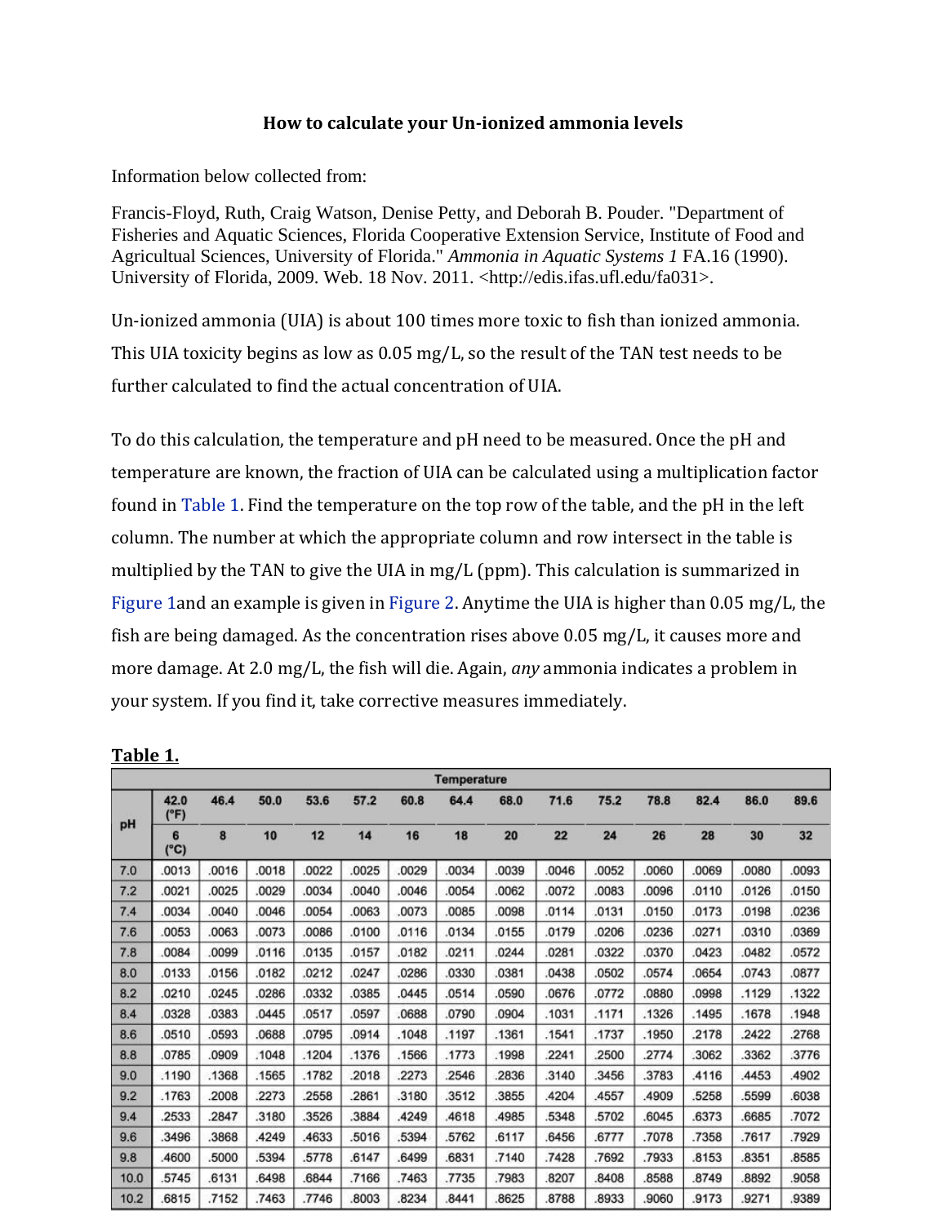## **How to calculate your Un-ionized ammonia levels**

<span id="page-0-0"></span>Information below collected from:

Francis-Floyd, Ruth, Craig Watson, Denise Petty, and Deborah B. Pouder. "Department of Fisheries and Aquatic Sciences, Florida Cooperative Extension Service, Institute of Food and Agricultual Sciences, University of Florida." *Ammonia in Aquatic Systems 1* FA.16 (1990). University of Florida, 2009. Web. 18 Nov. 2011. <http://edis.ifas.ufl.edu/fa031>.

Un-ionized ammonia (UIA) is about 100 times more toxic to fish than ionized ammonia. This UIA toxicity begins as low as 0.05 mg/L, so the result of the TAN test needs to be further calculated to find the actual concentration of UIA.

To do this calculation, the temperature and pH need to be measured. Once the pH and temperature are known, the fraction of UIA can be calculated using a multiplication factor found in [Table 1.](#page-0-0) Find the temperature on the top row of the table, and the pH in the left column. The number at which the appropriate column and row intersect in the table is multiplied by the TAN to give the UIA in mg/L (ppm). This calculation is summarized in [Figure 1a](#page-1-0)nd an example is given i[n Figure 2.](#page-1-1) Anytime the UIA is higher than 0.05 mg/L, the fish are being damaged. As the concentration rises above 0.05 mg/L, it causes more and more damage. At 2.0 mg/L, the fish will die. Again, *any* ammonia indicates a problem in your system. If you find it, take corrective measures immediately.

|      | <b>Temperature</b> |       |       |       |       |       |       |       |       |       |       |       |       |       |
|------|--------------------|-------|-------|-------|-------|-------|-------|-------|-------|-------|-------|-------|-------|-------|
|      | 42.0<br>(°F)       | 46.4  | 50.0  | 53.6  | 57.2  | 60.8  | 64.4  | 68.0  | 71.6  | 75.2  | 78.8  | 82.4  | 86.0  | 89.6  |
| pH   | 6<br>$(^{\circ}C)$ | 8     | 10    | 12    | 14    | 16    | 18    | 20    | 22    | 24    | 26    | 28    | 30    | 32    |
| 7.0  | 0013               | .0016 | .0018 | .0022 | .0025 | .0029 | 0034  | .0039 | .0046 | .0052 | 0000  | .0069 | .0080 | 0093  |
| 7.2  | .0021              | .0025 | .0029 | .0034 | .0040 | .0046 | .0054 | .0062 | .0072 | .0083 | .0096 | .0110 | .0126 | .0150 |
| 7.4  | .0034              | .0040 | .0046 | .0054 | .0063 | .0073 | .0085 | .0098 | .0114 | 0131  | .0150 | .0173 | .0198 | 0236  |
| 7.6  | .0053              | .0063 | .0073 | .0086 | .0100 | .0116 | .0134 | .0155 | .0179 | .0206 | .0236 | .0271 | .0310 | 0369  |
| 7.8  | 0084               | .0099 | .0116 | .0135 | .0157 | .0182 | .0211 | .0244 | .0281 | .0322 | .0370 | .0423 | .0482 | .0572 |
| 8.0  | .0133              | .0156 | .0182 | .0212 | .0247 | .0286 | .0330 | .0381 | .0438 | .0502 | .0574 | .0654 | .0743 | 0877  |
| 8.2  | .0210              | .0245 | .0286 | .0332 | .0385 | .0445 | .0514 | .0590 | .0676 | .0772 | .0880 | .0998 | .1129 | .1322 |
| 8.4  | .0328              | .0383 | .0445 | .0517 | .0597 | .0688 | .0790 | .0904 | .1031 | .1171 | .1326 | .1495 | .1678 | .1948 |
| 8.6  | .0510              | .0593 | .0688 | .0795 | .0914 | .1048 | .1197 | .1361 | .1541 | .1737 | .1950 | .2178 | .2422 | 2768  |
| 8.8  | .0785              | 0909  | .1048 | .1204 | .1376 | .1566 | .1773 | .1998 | 2241  | 2500  | 2774  | .3062 | .3362 | 3776  |
| 9.0  | .1190              | .1368 | .1565 | .1782 | .2018 | .2273 | 2546  | .2836 | 3140  | 3456  | .3783 | 4116  | 4453  | 4902  |
| 9.2  | .1763              | 2008  | .2273 | .2558 | .2861 | .3180 | .3512 | .3855 | .4204 | 4557  | 4909  | .5258 | .5599 | 6038  |
| 9.4  | 2533               | 2847  | .3180 | .3526 | .3884 | .4249 | 4618  | .4985 | .5348 | .5702 | .6045 | .6373 | .6685 | .7072 |
| 9.6  | .3496              | .3868 | .4249 | .4633 | .5016 | .5394 | .5762 | .6117 | .6456 | .6777 | .7078 | .7358 | .7617 | .7929 |
| 9.8  | 4600               | 5000  | .5394 | .5778 | .6147 | .6499 | .6831 | .7140 | .7428 | 7692  | .7933 | .8153 | 8351  | 8585  |
| 10.0 | 5745               | .6131 | .6498 | .6844 | .7166 | .7463 | .7735 | .7983 | .8207 | .8408 | .8588 | .8749 | .8892 | 9058  |
| 10.2 | 6815               | 7152  | 7463  | 7746  | 8003  | 8234  | 8441  | 8625  | 8788  | 8933  | 9060  | 9173  | .9271 | 9389  |

**Table 1.**